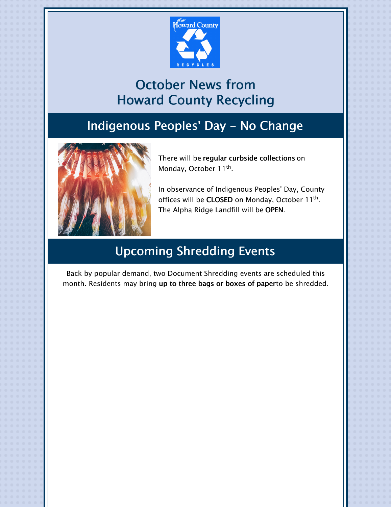

# October News from Howard County Recycling

# Indigenous Peoples' Day - No Change



There will be regular curbside collections on Monday, October 11<sup>th</sup>.

In observance of Indigenous Peoples' Day, County offices will be **CLOSED** on Monday, October 11<sup>th</sup>. The Alpha Ridge Landfill will be OPEN.

# Upcoming Shredding Events

Back by popular demand, two Document Shredding events are scheduled this month. Residents may bring up to three bags or boxes of paperto be shredded.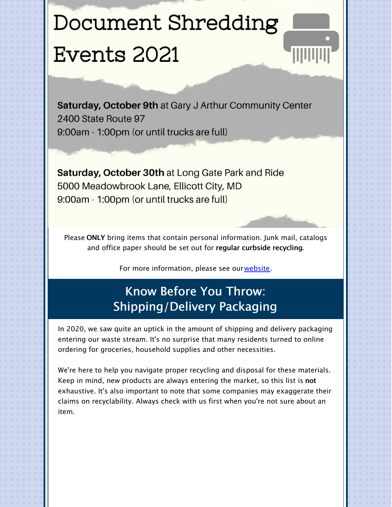# Document Shredding Events 2021

Saturday, October 9th at Gary J Arthur Community Center 2400 State Route 97 9:00am - 1:00pm (or until trucks are full)

**Saturday, October 30th at Long Gate Park and Ride** 5000 Meadowbrook Lane, Ellicott City, MD 9:00am - 1:00pm (or until trucks are full)

Please ONLY bring items that contain personal information. Junk mail, catalogs and office paper should be set out for regular curbside recycling.

For more information, please see our[website](https://www.howardcountymd.gov/documentshredding).

# Know Before You Throw: Shipping/Delivery Packaging

In 2020, we saw quite an uptick in the amount of shipping and delivery packaging entering our waste stream. It's no surprise that many residents turned to online ordering for groceries, household supplies and other necessities.

We're here to help you navigate proper recycling and disposal for these materials. Keep in mind, new products are always entering the market, so this list is not exhaustive. It's also important to note that some companies may exaggerate their claims on recyclability. Always check with us first when you're not sure about an item.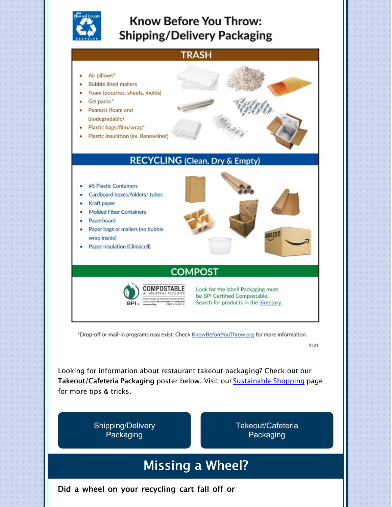

## **Know Before You Throw: Shipping/Delivery Packaging**



\*Drop-off or mail-in programs may exist. Check KnowBeforeYouThrow.org for more information.

 $9/21$ 

Looking for information about restaurant takeout packaging? Check out our Takeout/Cafeteria Packaging poster below. Visit our **[Sustainable](https://www.howardcountymd.gov/public-works/sustainable-shopping) Shopping** page for more tips & tricks.

> [Shipping/Delivery](https://files.constantcontact.com/b4e85a16401/3dfcdbe9-c4a1-452e-a0fa-16aeedb16b55.pdf) Packaging

[Takeout/Cafeteria](https://files.constantcontact.com/b4e85a16401/99fbb772-0e9e-493d-8434-4e30037bfff6.pdf) Packaging

# Missing a Wheel?

Did a wheel on your recycling cart fall off or